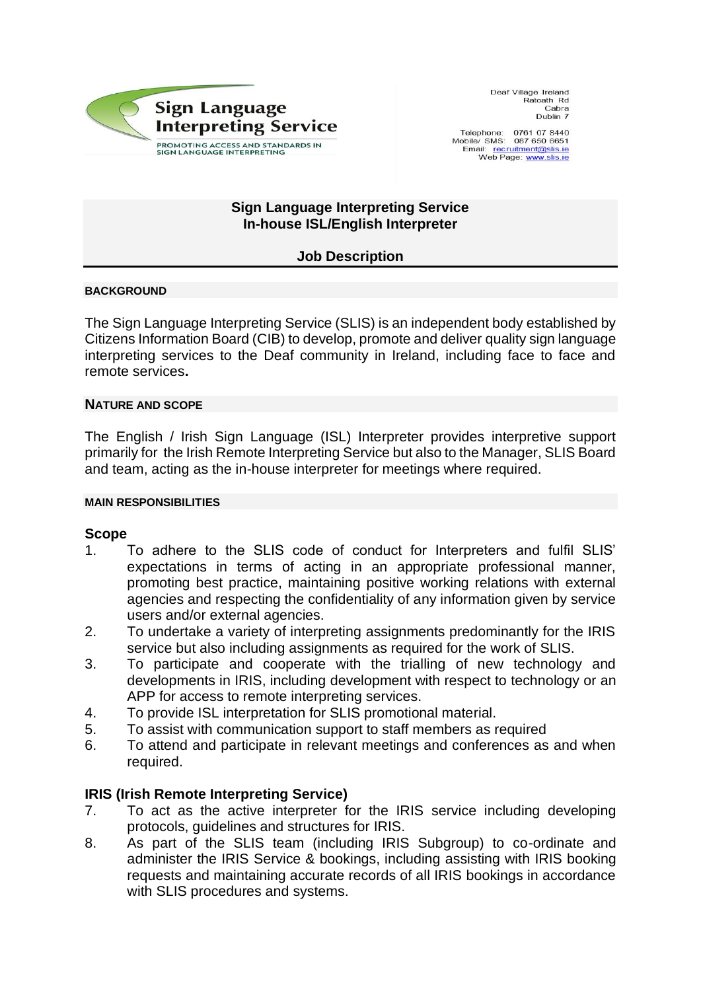

Deaf Village Ireland Ratoath Rd Cabra Dublin 7

Telephone: 0761 07 8440 Mobile/ SMS: 087 650 6651<br>Email: recruitment@slis.ie Web Page: www.slis.ie

## **Sign Language Interpreting Service In-house ISL/English Interpreter**

# **Job Description**

## **BACKGROUND**

The Sign Language Interpreting Service (SLIS) is an independent body established by Citizens Information Board (CIB) to develop, promote and deliver quality sign language interpreting services to the Deaf community in Ireland, including face to face and remote services**.** 

## **NATURE AND SCOPE**

The English / Irish Sign Language (ISL) Interpreter provides interpretive support primarily for the Irish Remote Interpreting Service but also to the Manager, SLIS Board and team, acting as the in-house interpreter for meetings where required.

#### **MAIN RESPONSIBILITIES**

## **Scope**

- 1. To adhere to the SLIS code of conduct for Interpreters and fulfil SLIS' expectations in terms of acting in an appropriate professional manner, promoting best practice, maintaining positive working relations with external agencies and respecting the confidentiality of any information given by service users and/or external agencies.
- 2. To undertake a variety of interpreting assignments predominantly for the IRIS service but also including assignments as required for the work of SLIS.
- 3. To participate and cooperate with the trialling of new technology and developments in IRIS, including development with respect to technology or an APP for access to remote interpreting services.
- 4. To provide ISL interpretation for SLIS promotional material.
- 5. To assist with communication support to staff members as required
- 6. To attend and participate in relevant meetings and conferences as and when required.

## **IRIS (Irish Remote Interpreting Service)**

- 7. To act as the active interpreter for the IRIS service including developing protocols, guidelines and structures for IRIS.
- 8. As part of the SLIS team (including IRIS Subgroup) to co-ordinate and administer the IRIS Service & bookings, including assisting with IRIS booking requests and maintaining accurate records of all IRIS bookings in accordance with SLIS procedures and systems.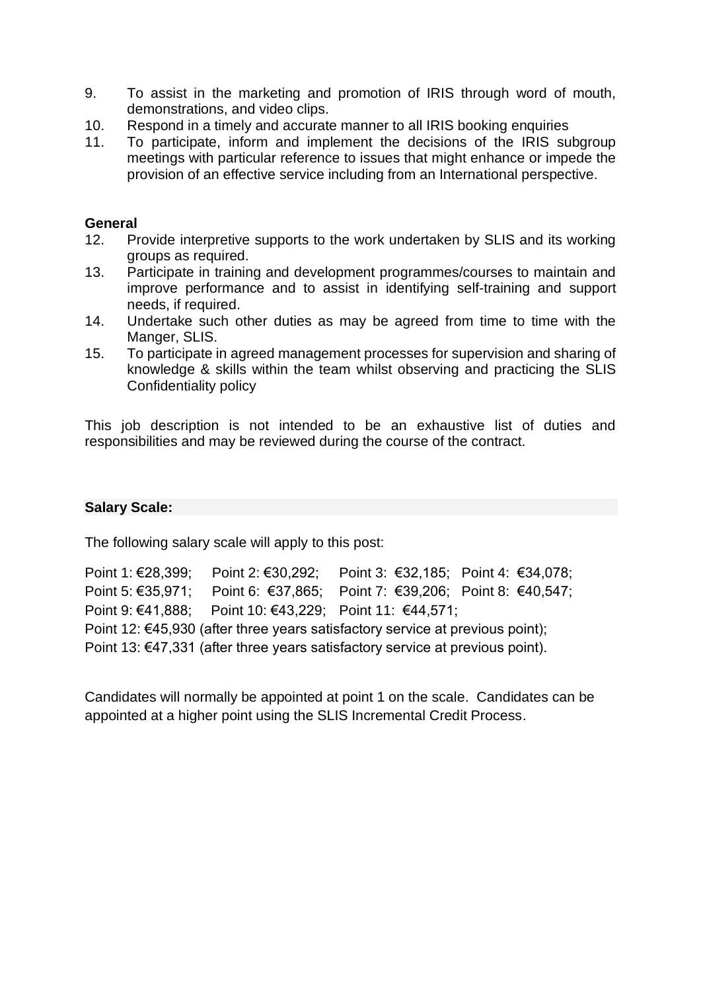- 9. To assist in the marketing and promotion of IRIS through word of mouth, demonstrations, and video clips.
- 10. Respond in a timely and accurate manner to all IRIS booking enquiries
- 11. To participate, inform and implement the decisions of the IRIS subgroup meetings with particular reference to issues that might enhance or impede the provision of an effective service including from an International perspective.

# **General**

- 12. Provide interpretive supports to the work undertaken by SLIS and its working groups as required.
- 13. Participate in training and development programmes/courses to maintain and improve performance and to assist in identifying self-training and support needs, if required.
- 14. Undertake such other duties as may be agreed from time to time with the Manger, SLIS.
- 15. To participate in agreed management processes for supervision and sharing of knowledge & skills within the team whilst observing and practicing the SLIS Confidentiality policy

This job description is not intended to be an exhaustive list of duties and responsibilities and may be reviewed during the course of the contract.

# **Salary Scale:**

The following salary scale will apply to this post:

Point 1: €28,399; Point 2: €30,292; Point 3: €32,185; Point 4: €34,078; Point 5: €35,971; Point 6: €37,865; Point 7: €39,206; Point 8: €40,547; Point 9: €41,888; Point 10: €43,229; Point 11: €44,571; Point 12: €45,930 (after three years satisfactory service at previous point); Point 13: €47,331 (after three years satisfactory service at previous point).

Candidates will normally be appointed at point 1 on the scale. Candidates can be appointed at a higher point using the SLIS Incremental Credit Process.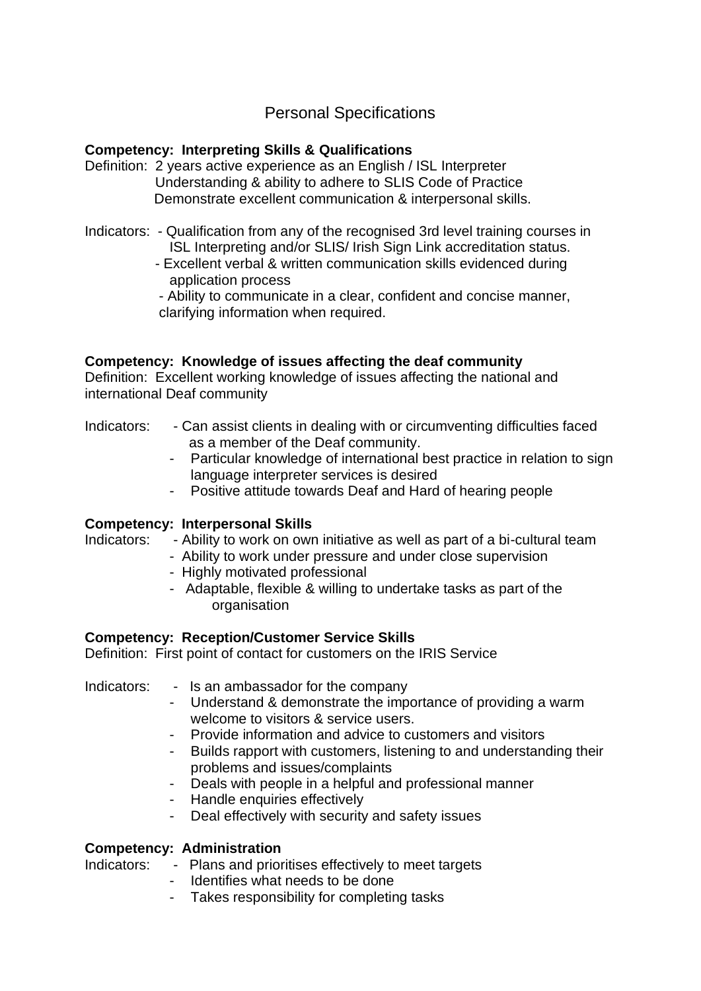# Personal Specifications

# **Competency: Interpreting Skills & Qualifications**

- Definition: 2 years active experience as an English / ISL Interpreter Understanding & ability to adhere to SLIS Code of Practice Demonstrate excellent communication & interpersonal skills.
- Indicators: Qualification from any of the recognised 3rd level training courses in ISL Interpreting and/or SLIS/ Irish Sign Link accreditation status.
	- Excellent verbal & written communication skills evidenced during application process
	- Ability to communicate in a clear, confident and concise manner, clarifying information when required.

# **Competency: Knowledge of issues affecting the deaf community**

Definition: Excellent working knowledge of issues affecting the national and international Deaf community

## Indicators: - Can assist clients in dealing with or circumventing difficulties faced as a member of the Deaf community.

- Particular knowledge of international best practice in relation to sign language interpreter services is desired
- Positive attitude towards Deaf and Hard of hearing people

# **Competency: Interpersonal Skills**

Indicators: - Ability to work on own initiative as well as part of a bi-cultural team

- Ability to work under pressure and under close supervision
- Highly motivated professional
- Adaptable, flexible & willing to undertake tasks as part of the organisation

# **Competency: Reception/Customer Service Skills**

Definition: First point of contact for customers on the IRIS Service

Indicators: - Is an ambassador for the company

- Understand & demonstrate the importance of providing a warm welcome to visitors & service users.
- Provide information and advice to customers and visitors
- Builds rapport with customers, listening to and understanding their problems and issues/complaints
- Deals with people in a helpful and professional manner
- Handle enquiries effectively
- Deal effectively with security and safety issues

# **Competency: Administration**

Indicators: - Plans and prioritises effectively to meet targets

- Identifies what needs to be done
- Takes responsibility for completing tasks